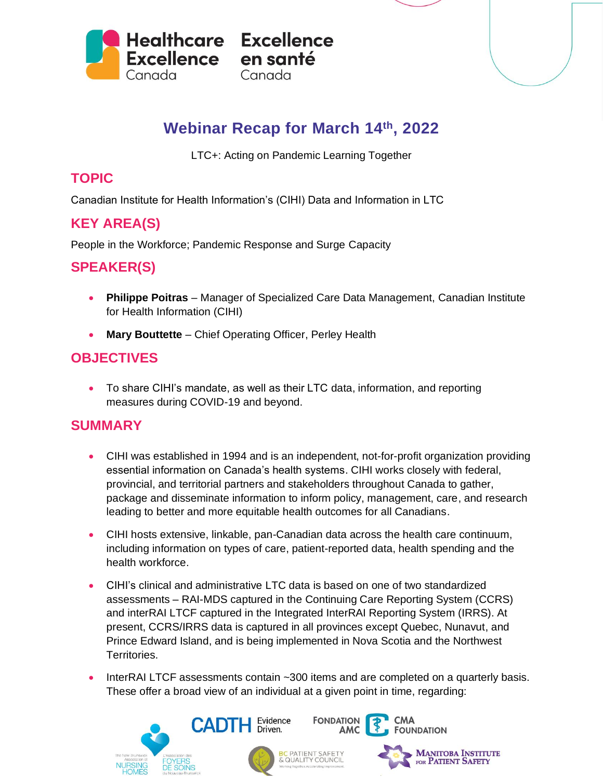

# **Webinar Recap for March 14 th, 2022**

LTC+: Acting on Pandemic Learning Together

#### **TOPIC**

Canadian Institute for Health Information's (CIHI) Data and Information in LTC

## **KEY AREA(S)**

People in the Workforce; Pandemic Response and Surge Capacity

#### **SPEAKER(S)**

- **Philippe Poitras** Manager of Specialized Care Data Management, Canadian Institute for Health Information (CIHI)
- **Mary Bouttette** Chief Operating Officer, Perley Health

### **OBJECTIVES**

• To share CIHI's mandate, as well as their LTC data, information, and reporting measures during COVID-19 and beyond.

### **SUMMARY**

- CIHI was established in 1994 and is an independent, not-for-profit organization providing essential information on Canada's health systems. CIHI works closely with federal, provincial, and territorial partners and stakeholders throughout Canada to gather, package and disseminate information to inform policy, management, care, and research leading to better and more equitable health outcomes for all Canadians.
- CIHI hosts extensive, linkable, pan-Canadian data across the health care continuum, including information on types of care, patient-reported data, health spending and the health workforce.
- CIHI's clinical and administrative LTC data is based on one of two standardized assessments – RAI-MDS captured in the Continuing Care Reporting System (CCRS) and interRAI LTCF captured in the Integrated InterRAI Reporting System (IRRS). At present, CCRS/IRRS data is captured in all provinces except Quebec, Nunavut, and Prince Edward Island, and is being implemented in Nova Scotia and the Northwest Territories.
- InterRAI LTCF assessments contain ~300 items and are completed on a quarterly basis. These offer a broad view of an individual at a given point in time, regarding:

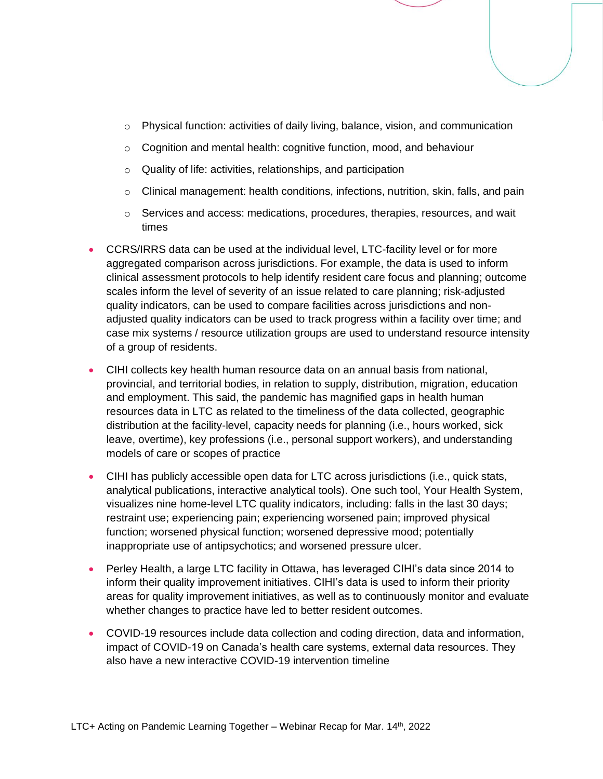- $\circ$  Physical function: activities of daily living, balance, vision, and communication
- o Cognition and mental health: cognitive function, mood, and behaviour
- o Quality of life: activities, relationships, and participation
- $\circ$  Clinical management: health conditions, infections, nutrition, skin, falls, and pain
- $\circ$  Services and access: medications, procedures, therapies, resources, and wait times
- CCRS/IRRS data can be used at the individual level, LTC-facility level or for more aggregated comparison across jurisdictions. For example, the data is used to inform clinical assessment protocols to help identify resident care focus and planning; outcome scales inform the level of severity of an issue related to care planning; risk-adjusted quality indicators, can be used to compare facilities across jurisdictions and nonadjusted quality indicators can be used to track progress within a facility over time; and case mix systems / resource utilization groups are used to understand resource intensity of a group of residents.
- CIHI collects key health human resource data on an annual basis from national, provincial, and territorial bodies, in relation to supply, distribution, migration, education and employment. This said, the pandemic has magnified gaps in health human resources data in LTC as related to the timeliness of the data collected, geographic distribution at the facility-level, capacity needs for planning (i.e., hours worked, sick leave, overtime), key professions (i.e., personal support workers), and understanding models of care or scopes of practice
- CIHI has publicly accessible open data for LTC across jurisdictions (i.e., quick stats, analytical publications, interactive analytical tools). One such tool, Your Health System, visualizes nine home-level LTC quality indicators, including: falls in the last 30 days; restraint use; experiencing pain; experiencing worsened pain; improved physical function; worsened physical function; worsened depressive mood; potentially inappropriate use of antipsychotics; and worsened pressure ulcer.
- Perley Health, a large LTC facility in Ottawa, has leveraged CIHI's data since 2014 to inform their quality improvement initiatives. CIHI's data is used to inform their priority areas for quality improvement initiatives, as well as to continuously monitor and evaluate whether changes to practice have led to better resident outcomes.
- COVID-19 resources include data collection and coding direction, data and information, impact of COVID-19 on Canada's health care systems, external data resources. They also have a new interactive COVID-19 intervention timeline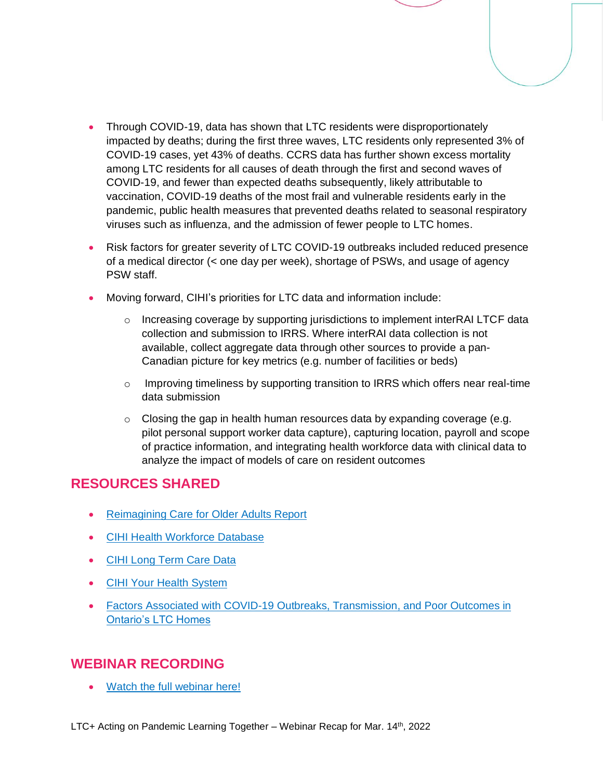- Through COVID-19, data has shown that LTC residents were disproportionately impacted by deaths; during the first three waves, LTC residents only represented 3% of COVID-19 cases, yet 43% of deaths. CCRS data has further shown excess mortality among LTC residents for all causes of death through the first and second waves of COVID-19, and fewer than expected deaths subsequently, likely attributable to vaccination, COVID-19 deaths of the most frail and vulnerable residents early in the pandemic, public health measures that prevented deaths related to seasonal respiratory viruses such as influenza, and the admission of fewer people to LTC homes.
- Risk factors for greater severity of LTC COVID-19 outbreaks included reduced presence of a medical director (< one day per week), shortage of PSWs, and usage of agency PSW staff.
- Moving forward, CIHI's priorities for LTC data and information include:
	- o Increasing coverage by supporting jurisdictions to implement interRAI LTCF data collection and submission to IRRS. Where interRAI data collection is not available, collect aggregate data through other sources to provide a pan-Canadian picture for key metrics (e.g. number of facilities or beds)
	- $\circ$  Improving timeliness by supporting transition to IRRS which offers near real-time data submission
	- $\circ$  Closing the gap in health human resources data by expanding coverage (e.g. pilot personal support worker data capture), capturing location, payroll and scope of practice information, and integrating health workforce data with clinical data to analyze the impact of models of care on resident outcomes

#### **RESOURCES SHARED**

- [Reimagining Care for Older Adults Report](https://www.cfhi-fcass.ca/innovations-tools-resources/item-detail/2020/07/20/re-imagining-care-for-older-adults-next-steps-in-covid-19-response-in-long-term-care-and-retirement-homes)
- [CIHI Health Workforce Database](https://www.cihi.ca/en/health-workforce-database-metadata)
- [CIHI Long Term Care Data](https://www.cihi.ca/en/continuing-care-metadata)
- [CIHI Your Health System](https://yourhealthsystem.cihi.ca/)
- [Factors Associated with COVID-19 Outbreaks, Transmission,](https://www.ltccommission-commissionsld.ca/presentations/pdf/Canadian_Institute_for_Health_Information_Final_Report_March_31_2021.pdf) and Poor Outcomes in [Ontario's LTC Homes](https://www.ltccommission-commissionsld.ca/presentations/pdf/Canadian_Institute_for_Health_Information_Final_Report_March_31_2021.pdf)

#### **WEBINAR RECORDING**

• [Watch the full webinar here!](https://www.youtube.com/watch?v=_Rwlypn8jxY&list=PLXppU70IRw-H7wy6c3QEQ1MHNyTqt8Wd_&index=22)